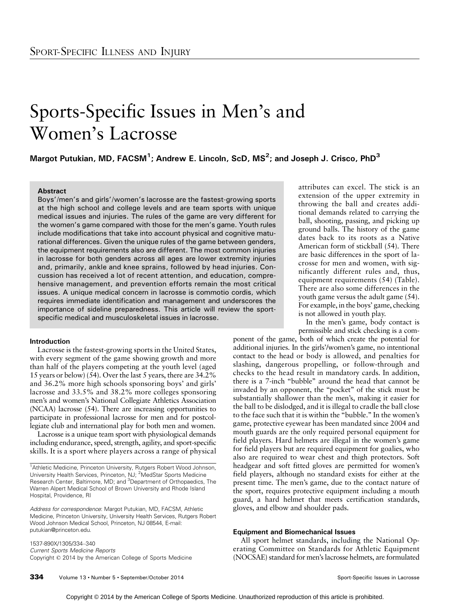# Sports-Specific Issues in Men's and Women's Lacrosse

Margot Putukian, MD, FACSM $^1$ ; Andrew E. Lincoln, ScD, MS $^2$ ; and Joseph J. Crisco, PhD $^3$ 

# Abstract

Boys'/men's and girls'/women's lacrosse are the fastest-growing sports at the high school and college levels and are team sports with unique medical issues and injuries. The rules of the game are very different for the women's game compared with those for the men's game. Youth rules include modifications that take into account physical and cognitive maturational differences. Given the unique rules of the game between genders, the equipment requirements also are different. The most common injuries in lacrosse for both genders across all ages are lower extremity injuries and, primarily, ankle and knee sprains, followed by head injuries. Concussion has received a lot of recent attention, and education, comprehensive management, and prevention efforts remain the most critical issues. A unique medical concern in lacrosse is commotio cordis, which requires immediate identification and management and underscores the importance of sideline preparedness. This article will review the sportspecific medical and musculoskeletal issues in lacrosse.

# Introduction

Lacrosse is the fastest-growing sports in the United States, with every segment of the game showing growth and more than half of the players competing at the youth level (aged 15 years or below) (54). Over the last 5 years, there are 34.2% and 36.2% more high schools sponsoring boys' and girls' lacrosse and 33.5% and 38.2% more colleges sponsoring men's and women's National Collegiate Athletics Association (NCAA) lacrosse (54). There are increasing opportunities to participate in professional lacrosse for men and for postcollegiate club and international play for both men and women.

Lacrosse is a unique team sport with physiological demands including endurance, speed, strength, agility, and sport-specific skills. It is a sport where players across a range of physical

1537-890X/1305/334-340 Current Sports Medicine Reports Copyright @ 2014 by the American College of Sports Medicine attributes can excel. The stick is an extension of the upper extremity in throwing the ball and creates additional demands related to carrying the ball, shooting, passing, and picking up ground balls. The history of the game dates back to its roots as a Native American form of stickball (54). There are basic differences in the sport of lacrosse for men and women, with significantly different rules and, thus, equipment requirements (54) (Table). There are also some differences in the youth game versus the adult game (54). For example, in the boys' game, checking is not allowed in youth play.

In the men's game, body contact is permissible and stick checking is a com-

ponent of the game, both of which create the potential for additional injuries. In the girls'/women's game, no intentional contact to the head or body is allowed, and penalties for slashing, dangerous propelling, or follow-through and checks to the head result in mandatory cards. In addition, there is a 7-inch ''bubble'' around the head that cannot be invaded by an opponent, the ''pocket'' of the stick must be substantially shallower than the men's, making it easier for the ball to be dislodged, and it is illegal to cradle the ball close to the face such that it is within the ''bubble.'' In the women's game, protective eyewear has been mandated since 2004 and mouth guards are the only required personal equipment for field players. Hard helmets are illegal in the women's game for field players but are required equipment for goalies, who also are required to wear chest and thigh protectors. Soft headgear and soft fitted gloves are permitted for women's field players, although no standard exists for either at the present time. The men's game, due to the contact nature of the sport, requires protective equipment including a mouth guard, a hard helmet that meets certification standards, gloves, and elbow and shoulder pads.

#### Equipment and Biomechanical Issues

All sport helmet standards, including the National Operating Committee on Standards for Athletic Equipment (NOCSAE) standard for men's lacrosse helmets, are formulated

<sup>&</sup>lt;sup>1</sup>Athletic Medicine, Princeton University, Rutgers Robert Wood Johnson, University Health Services, Princeton, NJ; <sup>2</sup>MedStar Sports Medicine Research Center, Baltimore, MD; and <sup>3</sup>Department of Orthopaedics, The Warren Alpert Medical School of Brown University and Rhode Island Hospital, Providence, RI

Address for correspondence: Margot Putukian, MD, FACSM, Athletic Medicine, Princeton University, University Health Services, Rutgers Robert Wood Johnson Medical School, Princeton, NJ 08544, E-mail: putukian@princeton.edu.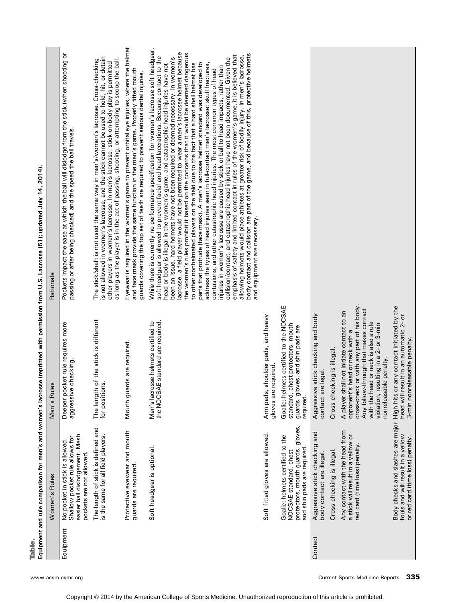Table.<br>Equipment and rule comparison for men's and women's lacrosse (reprinted with permission from U.S. Lacrosse (51); updated July 14, 2014). Equipment and rule comparison for men's and women's lacrosse (reprinted with permission from U.S. Lacrosse (51); updated July 14, 2014).

|           | Women's Rules                                                                                                                    | Men's Rules                                                                                                                                                                                                                                                                  | Rationale                                                                                                                                                                                                                                                                                                                                                                                                                                                                                                                                                                                                                                                                                                                                                                                                                                                                                                                                                                                                                                                                                                                                                                                                                                                                                                                                                                                                                     |
|-----------|----------------------------------------------------------------------------------------------------------------------------------|------------------------------------------------------------------------------------------------------------------------------------------------------------------------------------------------------------------------------------------------------------------------------|-------------------------------------------------------------------------------------------------------------------------------------------------------------------------------------------------------------------------------------------------------------------------------------------------------------------------------------------------------------------------------------------------------------------------------------------------------------------------------------------------------------------------------------------------------------------------------------------------------------------------------------------------------------------------------------------------------------------------------------------------------------------------------------------------------------------------------------------------------------------------------------------------------------------------------------------------------------------------------------------------------------------------------------------------------------------------------------------------------------------------------------------------------------------------------------------------------------------------------------------------------------------------------------------------------------------------------------------------------------------------------------------------------------------------------|
| Equipment | easier ball dislodgement. Mesh<br>Shallow pocket rule allows for<br>No pocket in stick is allowed<br>pockets are not allowed.    | ket rule requires more<br>aggressive checking.<br>Deeper poc                                                                                                                                                                                                                 | Pockets impact the ease at which the ball will dislodge from the stick (when shooting or<br>passing or after being checked) and the speed the ball travels.                                                                                                                                                                                                                                                                                                                                                                                                                                                                                                                                                                                                                                                                                                                                                                                                                                                                                                                                                                                                                                                                                                                                                                                                                                                                   |
|           | The length of stick is defined and<br>is the same for all field players.                                                         | The length of the stick is different<br>for positions.                                                                                                                                                                                                                       | is not allowed in women's lacrosse, and the stick cannot be used to hold, hit, or detain<br>as long as the player is in the act of passing, shooting, or attempting to scoop the ball.<br>The stick/shaft is not used the same way in men's/women's lacrosse. Cross-checking<br>other players in women's lacrosse. In men's lacrosse, stick-on-body play is permitted                                                                                                                                                                                                                                                                                                                                                                                                                                                                                                                                                                                                                                                                                                                                                                                                                                                                                                                                                                                                                                                         |
|           | Protective eyewear and mouth<br>guards are required.                                                                             | ds are required<br>Mouth guar                                                                                                                                                                                                                                                | Eyewear is required in the women's game to prevent orbital eye injuries, where the helmet<br>and face mask provide the same function in the men's game. Properly fitted mouth<br>guards covering the top set of teeth are required to prevent serious dental injuries.                                                                                                                                                                                                                                                                                                                                                                                                                                                                                                                                                                                                                                                                                                                                                                                                                                                                                                                                                                                                                                                                                                                                                        |
|           | Soft headgear is optional                                                                                                        | the NOCSAE standard are required.<br>Men's lacrosse helmets certified to                                                                                                                                                                                                     | While there is currently no performance specification for women's lacrosse soft headgear,<br>lacrosse, a field player would not be permitted to wear a men's lacrosse helmet because<br>the women's rules prohibit it based on the concerns that it would be deemed dangerous<br>body contact and collision are part of the game, and because of this, protective helmets<br>emphasis of safety and limited contact in rules of the women's game, it is believed that<br>allowing helmets would place athletes at greater risk of bodily injury. In men's lacrosse,<br>soft headgear is allowed to prevent facial and head lacerations. Because contact to the<br>been an issue, hard helmets have not been required or deemed necessary. In women's<br>collision/contact, and catastrophic head injuries have not been documented. Given the<br>parts that protrude (face mask). A men's lacrosse helmet standard was developed to<br>to other nonhelmeted players on the field due to the fact that a hard shell helmet has<br>head or body is illegal in the women's game, and catastrophic head injuries have not<br>address the types of head injuries seen in full-contact men's lacrosse: skull fractures,<br>injuries in women's lacrosse are caused by stick or ball to head impacts, rather than<br>contusions, and other catastrophic head injuries. The most common types of head<br>and equipment are necessary. |
|           | Soft fitted gloves are allowed.                                                                                                  | Arm pads, shoulder pads, and heavy<br>gloves are required.                                                                                                                                                                                                                   |                                                                                                                                                                                                                                                                                                                                                                                                                                                                                                                                                                                                                                                                                                                                                                                                                                                                                                                                                                                                                                                                                                                                                                                                                                                                                                                                                                                                                               |
|           | gloves,<br>Goalie: helmets certified to the<br>protectors, mouth guards,<br>and shin pads are required<br>NOCSAE standard, chest | Goalie: helmets certified to the NOCSAE<br>standard, chest protectors, mouth<br>guards, gloves, and shin pads are<br>required.                                                                                                                                               |                                                                                                                                                                                                                                                                                                                                                                                                                                                                                                                                                                                                                                                                                                                                                                                                                                                                                                                                                                                                                                                                                                                                                                                                                                                                                                                                                                                                                               |
| Contact   | Aggressive stick checking and<br>body contact are illegal.                                                                       | stick checking and body<br>contact are legal.<br>Aggressive                                                                                                                                                                                                                  |                                                                                                                                                                                                                                                                                                                                                                                                                                                                                                                                                                                                                                                                                                                                                                                                                                                                                                                                                                                                                                                                                                                                                                                                                                                                                                                                                                                                                               |
|           | Cross-checking is illegal.                                                                                                       | Cross-checking is illegal.                                                                                                                                                                                                                                                   |                                                                                                                                                                                                                                                                                                                                                                                                                                                                                                                                                                                                                                                                                                                                                                                                                                                                                                                                                                                                                                                                                                                                                                                                                                                                                                                                                                                                                               |
|           | Any contact with the head from<br>a stick will result in a yellow or<br>red card (time loss) penalty.                            | cross-check or with any part of his body.<br>Any follow-through that makes contact<br>A player shall not initiate contact to an<br>with the head or neck is also a rule<br>violation, resulting in a 2- or 3-min<br>opponent's head or neck with a<br>nonreleasable penalty. |                                                                                                                                                                                                                                                                                                                                                                                                                                                                                                                                                                                                                                                                                                                                                                                                                                                                                                                                                                                                                                                                                                                                                                                                                                                                                                                                                                                                                               |
|           | Body checks and slashes are major<br>fouls and will result in a yellow<br>or red card (time loss) penalty.                       | any contact initiated by the<br>head will result in an automatic 2- or<br>3-min nonreleasable penalty.<br>High hits or                                                                                                                                                       |                                                                                                                                                                                                                                                                                                                                                                                                                                                                                                                                                                                                                                                                                                                                                                                                                                                                                                                                                                                                                                                                                                                                                                                                                                                                                                                                                                                                                               |

www.acsm-csmr.org **335** and the current Sports Medicine Reports **335**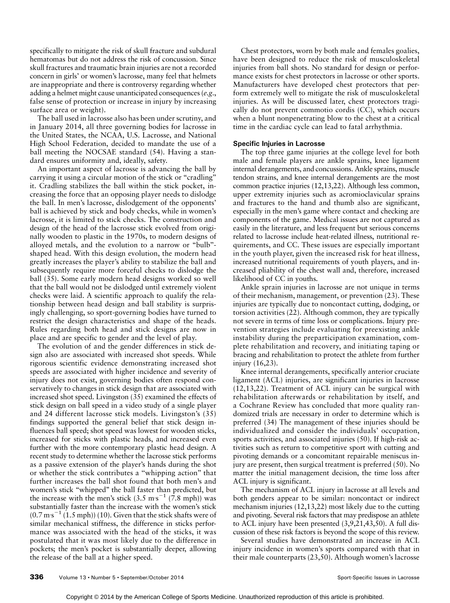specifically to mitigate the risk of skull fracture and subdural hematomas but do not address the risk of concussion. Since skull fractures and traumatic brain injuries are not a recorded concern in girls' or women's lacrosse, many feel that helmets are inappropriate and there is controversy regarding whether adding a helmet might cause unanticipated consequences (e.g., false sense of protection or increase in injury by increasing surface area or weight).

The ball used in lacrosse also has been under scrutiny, and in January 2014, all three governing bodies for lacrosse in the United States, the NCAA, U.S. Lacrosse, and National High School Federation, decided to mandate the use of a ball meeting the NOCSAE standard (54). Having a standard ensures uniformity and, ideally, safety.

An important aspect of lacrosse is advancing the ball by carrying it using a circular motion of the stick or "cradling" it. Cradling stabilizes the ball within the stick pocket, increasing the force that an opposing player needs to dislodge the ball. In men's lacrosse, dislodgement of the opponents' ball is achieved by stick and body checks, while in women's lacrosse, it is limited to stick checks. The construction and design of the head of the lacrosse stick evolved from originally wooden to plastic in the 1970s, to modern designs of alloyed metals, and the evolution to a narrow or ''bulb'' shaped head. With this design evolution, the modern head greatly increases the player's ability to stabilize the ball and subsequently require more forceful checks to dislodge the ball (35). Some early modern head designs worked so well that the ball would not be dislodged until extremely violent checks were laid. A scientific approach to qualify the relationship between head design and ball stability is surprisingly challenging, so sport-governing bodies have turned to restrict the design characteristics and shape of the heads. Rules regarding both head and stick designs are now in place and are specific to gender and the level of play.

The evolution of and the gender differences in stick design also are associated with increased shot speeds. While rigorous scientific evidence demonstrating increased shot speeds are associated with higher incidence and severity of injury does not exist, governing bodies often respond conservatively to changes in stick design that are associated with increased shot speed. Livingston (35) examined the effects of stick design on ball speed in a video study of a single player and 24 different lacrosse stick models. Livingston's (35) findings supported the general belief that stick design influences ball speed; shot speed was lowest for wooden sticks, increased for sticks with plastic heads, and increased even further with the more contemporary plastic head design. A recent study to determine whether the lacrosse stick performs as a passive extension of the player's hands during the shot or whether the stick contributes a ''whipping action'' that further increases the ball shot found that both men's and women's stick ''whipped'' the ball faster than predicted, but the increase with the men's stick  $(3.5 \text{ m}\text{s}^{-1} (7.8 \text{ mph}))$  was substantially faster than the increase with the women's stick  $(0.7 \,\mathrm{m}\,\mathrm{s}^{-1}$   $(1.5 \,\mathrm{mph})$ ) (10). Given that the stick shafts were of similar mechanical stiffness, the difference in sticks performance was associated with the head of the sticks, it was postulated that it was most likely due to the difference in pockets; the men's pocket is substantially deeper, allowing the release of the ball at a higher speed.

Chest protectors, worn by both male and females goalies, have been designed to reduce the risk of musculoskeletal injuries from ball shots. No standard for design or performance exists for chest protectors in lacrosse or other sports. Manufacturers have developed chest protectors that perform extremely well to mitigate the risk of musculoskeletal injuries. As will be discussed later, chest protectors tragically do not prevent commotio cordis (CC), which occurs when a blunt nonpenetrating blow to the chest at a critical time in the cardiac cycle can lead to fatal arrhythmia.

### Specific Injuries in Lacrosse

The top three game injuries at the college level for both male and female players are ankle sprains, knee ligament internal derangements, and concussions. Ankle sprains, muscle tendon strains, and knee internal derangements are the most common practice injuries (12,13,22). Although less common, upper extremity injuries such as acromioclavicular sprains and fractures to the hand and thumb also are significant, especially in the men's game where contact and checking are components of the game. Medical issues are not captured as easily in the literature, and less frequent but serious concerns related to lacrosse include heat-related illness, nutritional requirements, and CC. These issues are especially important in the youth player, given the increased risk for heat illness, increased nutritional requirements of youth players, and increased pliability of the chest wall and, therefore, increased likelihood of CC in youths.

Ankle sprain injuries in lacrosse are not unique in terms of their mechanism, management, or prevention (23). These injuries are typically due to noncontact cutting, dodging, or torsion activities (22). Although common, they are typically not severe in terms of time loss or complications. Injury prevention strategies include evaluating for preexisting ankle instability during the preparticipation examination, complete rehabilitation and recovery, and initiating taping or bracing and rehabilitation to protect the athlete from further injury (16,23).

Knee internal derangements, specifically anterior cruciate ligament (ACL) injuries, are significant injuries in lacrosse (12,13,22). Treatment of ACL injury can be surgical with rehabilitation afterwards or rehabilitation by itself, and a Cochrane Review has concluded that more quality randomized trials are necessary in order to determine which is preferred (34) The management of these injuries should be individualized and consider the individuals' occupation, sports activities, and associated injuries (50). If high-risk activities such as return to competitive sport with cutting and pivoting demands or a concomitant repairable meniscus injury are present, then surgical treatment is preferred (50). No matter the initial management decision, the time loss after ACL injury is significant.

The mechanism of ACL injury in lacrosse at all levels and both genders appear to be similar: noncontact or indirect mechanism injuries (12,13,22) most likely due to the cutting and pivoting. Several risk factors that may predispose an athlete to ACL injury have been presented (3,9,21,43,50). A full discussion of these risk factors is beyond the scope of this review.

Several studies have demonstrated an increase in ACL injury incidence in women's sports compared with that in their male counterparts (23,50). Although women's lacrosse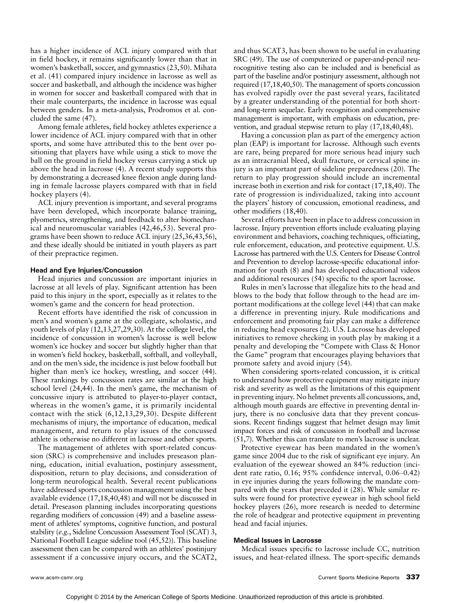has a higher incidence of ACL injury compared with that in field hockey, it remains significantly lower than that in women's basketball, soccer, and gymnastics (23,50). Mihata et al. (41) compared injury incidence in lacrosse as well as soccer and basketball, and although the incidence was higher in women for soccer and basketball compared with that in their male counterparts, the incidence in lacrosse was equal between genders. In a meta-analysis, Prodromos et al. concluded the same (47).

Among female athletes, field hockey athletes experience a lower incidence of ACL injury compared with that in other sports, and some have attributed this to the bent over positioning that players have while using a stick to move the ball on the ground in field hockey versus carrying a stick up above the head in lacrosse (4). A recent study supports this by demonstrating a decreased knee flexion angle during landing in female lacrosse players compared with that in field hockey players (4).

ACL injury prevention is important, and several programs have been developed, which incorporate balance training, plyometrics, strengthening, and feedback to alter biomechanical and neuromuscular variables (42,46,53). Several programs have been shown to reduce ACL injury (25,36,43,56), and these ideally should be initiated in youth players as part of their prepractice regimen.

### Head and Eye Injuries/Concussion

Head injuries and concussion are important injuries in lacrosse at all levels of play. Significant attention has been paid to this injury in the sport, especially as it relates to the women's game and the concern for head protection.

Recent efforts have identified the risk of concussion in men's and women's game at the collegiate, scholastic, and youth levels of play (12,13,27,29,30). At the college level, the incidence of concussion in women's lacrosse is well below women's ice hockey and soccer but slightly higher than that in women's field hockey, basketball, softball, and volleyball, and on the men's side, the incidence is just below football but higher than men's ice hockey, wrestling, and soccer (44). These rankings by concussion rates are similar at the high school level (24,44). In the men's game, the mechanism of concussive injury is attributed to player-to-player contact, whereas in the women's game, it is primarily incidental contact with the stick (6,12,13,29,30). Despite different mechanisms of injury, the importance of education, medical management, and return to play issues of the concussed athlete is otherwise no different in lacrosse and other sports.

The management of athletes with sport-related concussion (SRC) is comprehensive and includes preseason planning, education, initial evaluation, postinjury assessment, disposition, return to play decisions, and consideration of long-term neurological health. Several recent publications have addressed sports concussion management using the best available evidence (17,18,40,48) and will not be discussed in detail. Preseason planning includes incorporating questions regarding modifiers of concussion (49) and a baseline assessment of athletes' symptoms, cognitive function, and postural stability (e.g., Sideline Concussion Assessment Tool (SCAT) 3, National Football League sideline tool (45,52)). This baseline assessment then can be compared with an athletes' postinjury assessment if a concussive injury occurs, and the SCAT2, and thus SCAT3, has been shown to be useful in evaluating SRC (49). The use of computerized or paper-and-pencil neurocognitive testing also can be included and is beneficial as part of the baseline and/or postinjury assessment, although not required (17,18,40,50). The management of sports concussion has evolved rapidly over the past several years, facilitated by a greater understanding of the potential for both shortand long-term sequelae. Early recognition and comprehensive management is important, with emphasis on education, prevention, and gradual stepwise return to play (17,18,40,48).

Having a concussion plan as part of the emergency action plan (EAP) is important for lacrosse. Although such events are rare, being prepared for more serious head injury such as an intracranial bleed, skull fracture, or cervical spine injury is an important part of sideline preparedness (20). The return to play progression should include an incremental increase both in exertion and risk for contact (17,18,40). The rate of progression is individualized, taking into account the players' history of concussion, emotional readiness, and other modifiers (18,40).

Several efforts have been in place to address concussion in lacrosse. Injury prevention efforts include evaluating playing environment and behaviors, coaching techniques, officiating, rule enforcement, education, and protective equipment. U.S. Lacrosse has partnered with the U.S. Centers for Disease Control and Prevention to develop lacrosse-specific educational information for youth (8) and has developed educational videos and additional resources (54) specific to the sport lacrosse.

Rules in men's lacrosse that illegalize hits to the head and blows to the body that follow through to the head are important modifications at the college level (44) that can make a difference in preventing injury. Rule modifications and enforcement and promoting fair play can make a difference in reducing head exposures (2). U.S. Lacrosse has developed initiatives to remove checking in youth play by making it a penalty and developing the ''Compete with Class & Honor the Game'' program that encourages playing behaviors that promote safety and avoid injury (54).

When considering sports-related concussion, it is critical to understand how protective equipment may mitigate injury risk and severity as well as the limitations of this equipment in preventing injury. No helmet prevents all concussions, and, although mouth guards are effective in preventing dental injury, there is no conclusive data that they prevent concussions. Recent findings suggest that helmet design may limit impact forces and risk of concussion in football and lacrosse (51,7). Whether this can translate to men's lacrosse is unclear.

Protective eyewear has been mandated in the women's game since 2004 due to the risk of significant eye injury. An evaluation of the eyewear showed an 84% reduction (incident rate ratio,  $0.16$ ;  $95\%$  confidence interval,  $0.06-0.42$ ) in eye injuries during the years following the mandate compared with the years that preceded it (28). While similar results were found for protective eyewear in high school field hockey players (26), more research is needed to determine the role of headgear and protective equipment in preventing head and facial injuries.

#### Medical Issues in Lacrosse

Medical issues specific to lacrosse include CC, nutrition issues, and heat-related illness. The sport-specific demands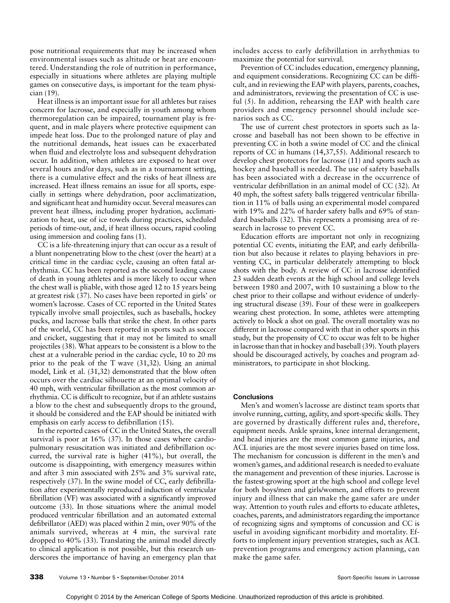pose nutritional requirements that may be increased when environmental issues such as altitude or heat are encountered. Understanding the role of nutrition in performance, especially in situations where athletes are playing multiple games on consecutive days, is important for the team physician (19).

Heat illness is an important issue for all athletes but raises concern for lacrosse, and especially in youth among whom thermoregulation can be impaired, tournament play is frequent, and in male players where protective equipment can impede heat loss. Due to the prolonged nature of play and the nutritional demands, heat issues can be exacerbated when fluid and electrolyte loss and subsequent dehydration occur. In addition, when athletes are exposed to heat over several hours and/or days, such as in a tournament setting, there is a cumulative effect and the risks of heat illness are increased. Heat illness remains an issue for all sports, especially in settings where dehydration, poor acclimatization, and significant heat and humidity occur. Several measures can prevent heat illness, including proper hydration, acclimatization to heat, use of ice towels during practices, scheduled periods of time-out, and, if heat illness occurs, rapid cooling using immersion and cooling fans (1).

CC is a life-threatening injury that can occur as a result of a blunt nonpenetrating blow to the chest (over the heart) at a critical time in the cardiac cycle, causing an often fatal arrhythmia. CC has been reported as the second leading cause of death in young athletes and is more likely to occur when the chest wall is pliable, with those aged 12 to 15 years being at greatest risk (37). No cases have been reported in girls' or women's lacrosse. Cases of CC reported in the United States typically involve small projectiles, such as baseballs, hockey pucks, and lacrosse balls that strike the chest. In other parts of the world, CC has been reported in sports such as soccer and cricket, suggesting that it may not be limited to small projectiles (38). What appears to be consistent is a blow to the chest at a vulnerable period in the cardiac cycle, 10 to 20 ms prior to the peak of the T wave (31,32). Using an animal model, Link et al. (31,32) demonstrated that the blow often occurs over the cardiac silhouette at an optimal velocity of 40 mph, with ventricular fibrillation as the most common arrhythmia. CC is difficult to recognize, but if an athlete sustains a blow to the chest and subsequently drops to the ground, it should be considered and the EAP should be initiated with emphasis on early access to defibrillation (15).

In the reported cases of CC in the United States, the overall survival is poor at 16% (37). In those cases where cardiopulmonary resuscitation was initiated and defibrillation occurred, the survival rate is higher (41%), but overall, the outcome is disappointing, with emergency measures within and after 3 min associated with 25% and 3% survival rate, respectively (37). In the swine model of CC, early defibrillation after experimentally reproduced induction of ventricular fibrillation (VF) was associated with a significantly improved outcome (33). In those situations where the animal model produced ventricular fibrillation and an automated external defibrillator (AED) was placed within 2 min, over 90% of the animals survived, whereas at 4 min, the survival rate dropped to 40% (33). Translating the animal model directly to clinical application is not possible, but this research underscores the importance of having an emergency plan that includes access to early defibrillation in arrhythmias to maximize the potential for survival.

Prevention of CC includes education, emergency planning, and equipment considerations. Recognizing CC can be difficult, and in reviewing the EAP with players, parents, coaches, and administrators, reviewing the presentation of CC is useful (5). In addition, rehearsing the EAP with health care providers and emergency personnel should include scenarios such as CC.

The use of current chest protectors in sports such as lacrosse and baseball has not been shown to be effective in preventing CC in both a swine model of CC and the clinical reports of CC in humans (14,37,55). Additional research to develop chest protectors for lacrosse (11) and sports such as hockey and baseball is needed. The use of safety baseballs has been associated with a decrease in the occurrence of ventricular defibrillation in an animal model of CC (32). At 40 mph, the softest safety balls triggered ventricular fibrillation in 11% of balls using an experimental model compared with 19% and 22% of harder safety balls and 69% of standard baseballs (32). This represents a promising area of research in lacrosse to prevent CC.

Education efforts are important not only in recognizing potential CC events, initiating the EAP, and early defibrillation but also because it relates to playing behaviors in preventing CC, in particular deliberately attempting to block shots with the body. A review of CC in lacrosse identified 23 sudden death events at the high school and college levels between 1980 and 2007, with 10 sustaining a blow to the chest prior to their collapse and without evidence of underlying structural disease (39). Four of these were in goalkeepers wearing chest protection. In some, athletes were attempting actively to block a shot on goal. The overall mortality was no different in lacrosse compared with that in other sports in this study, but the propensity of CC to occur was felt to be higher in lacrosse than that in hockey and baseball (39). Youth players should be discouraged actively, by coaches and program administrators, to participate in shot blocking.

#### **Conclusions**

Men's and women's lacrosse are distinct team sports that involve running, cutting, agility, and sport-specific skills. They are governed by drastically different rules and, therefore, equipment needs. Ankle sprains, knee internal derangement, and head injuries are the most common game injuries, and ACL injuries are the most severe injuries based on time loss. The mechanism for concussion is different in the men's and women's games, and additional research is needed to evaluate the management and prevention of these injuries. Lacrosse is the fastest-growing sport at the high school and college level for both boys/men and girls/women, and efforts to prevent injury and illness that can make the game safer are under way. Attention to youth rules and efforts to educate athletes, coaches, parents, and administrators regarding the importance of recognizing signs and symptoms of concussion and CC is useful in avoiding significant morbidity and mortality. Efforts to implement injury prevention strategies, such as ACL prevention programs and emergency action planning, can make the game safer.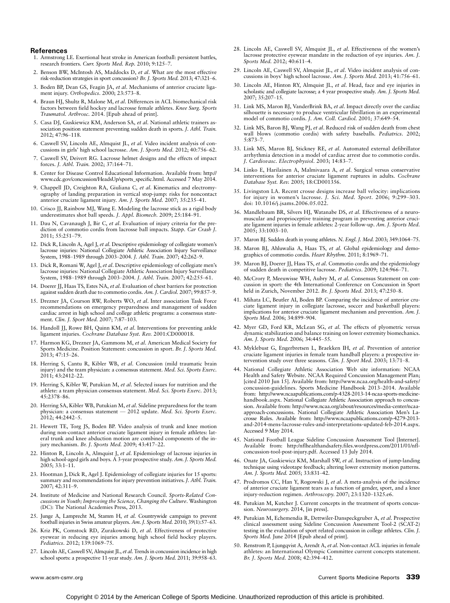#### References

- 1. Armstrong LE. Exertional heat stroke in American football: persistent battles, research frontiers. Curr. Sports Med. Rep. 2010; 9:125-7.
- 2. Benson BW, McIntosh AS, Maddocks D, et al. What are the most effective risk-reduction strategies in sport concussion? Br. J. Sports Med. 2013; 47:321-6.
- 3. Boden BP, Dean GS, Feagin JA, et al. Mechanisms of anterior cruciate ligament injury. Orthopedics. 2000; 23:573-8.
- 4. Braun HJ, Shultz R, Malone M, et al. Differences in ACL biomechanical risk factors between field hockey and lacrosse female athletes. Knee Surg. Sports Traumatol. Arthrosc. 2014. [Epub ahead of print].
- 5. Casa DJ, Guskiewicz KM, Anderson SA, et al. National athletic trainers association position statement preventing sudden death in sports. J. Athl. Train.  $2012: 47:96 - 118.$
- 6. Caswell SV, Lincoln AE, Almquist JL, et al. Video incident analysis of concussions in girls' high school lacrosse. Am. J. Sports Med. 2012; 40:756-62.
- 7. Caswell SV, Deivert RG. Lacrosse helmet designs and the effects of impact forces. J. Athl. Train. 2002; 37:164-71.
- 8. Center for Disease Control Educational Information. Available from: [http://](http://www.cdc.gov/concussion/HeadsUp/sports_specific.html) [www.cdc.gov/concussion/HeadsUp/sports\\_specific.html.](http://www.cdc.gov/concussion/HeadsUp/sports_specific.html) Accessed 7 May 2014.
- 9. Chappell JD, Creighton RA, Giuliana C, et al. Kinematics and electromyography of landing preparation in vertical stop-jump: risks for noncontact anterior cruciate ligament injury. Am. J. Sports Med. 2007; 35:235-41.
- 10. Crisco JJ, Rainbow MJ, Wang E. Modeling the lacrosse stick as a rigid body underestimates shot ball speeds. J. Appl. Biomech. 2009; 25:184-91.
- 11. Dau N, Cavanaugh J, Bir C, et al. Evaluation of injury criteria for the prediction of commotio cordis from lacrosse ball impacts. Stapp. Car Crash J. 2011: 55:251-79.
- 12. Dick R, Lincoln A, Agel J, et al. Descriptive epidemiology of collegiate women's lacrosse injuries: National Collegiate Athletic Association Injury Surveillance System, 1988-1989 through 2003-2004. J. Athl. Train. 2007; 42:262-9.
- 13. Dick R, Romani W, Agel J, et al. Descriptive epidemiology of collegiate men's lacrosse injuries: National Collegiate Athletic Association Injury Surveillance System, 1988-1989 through 2003-2004. J. Athl. Train. 2007; 42:255-61.
- 14. Doerer JJ, Haas TS, Estes NA, et al. Evaluation of chest barriers for protection against sudden death due to commotio cordis. Am. J. Cardiol. 2007; 99:857-9.
- 15. Drezner JA, Courson RW, Roberts WO, et al. Inter association Task Force recommendations on emergency preparedness and management of sudden cardiac arrest in high school and college athletic programs: a consensus statement. Clin. J. Sport Med. 2007; 7:87-103.
- 16. Handoll JJ, Rowe BH, Quinn KM, et al. Interventions for preventing ankle ligament injuries. Cochrane Database Syst. Rev. 2001:CD000018.
- 17. Harmon KG, Drezner JA, Gammons M, et al. American Medical Society for Sports Medicine. Position Statement: concussion in sport. Br. J. Sports Med. 2013; 47:15-26.
- 18. Herring S, Cantu R, Kibler WB, et al. Concussion (mild traumatic brain injury) and the team physician: a consensus statement. Med. Sci. Sports Exerc. 2011; 43:2412-22.
- 19. Herring S, Kibler W, Putukian M, et al. Selected issues for nutrition and the athlete: a team physician consensus statement. Med. Sci. Sports Exerc. 2013; 45:2378-86.
- 20. Herring SA, Kibler WB, Putukian M, et al. Sideline preparedness for the team physician: a consensus statement - 2012 update. Med. Sci. Sports Exerc.  $2012$ ; 44:2442-5.
- 21. Hewett TE, Torg JS, Boden BP. Video analysis of trunk and knee motion during non-contact anterior cruciate ligament injury in female athletes: lateral trunk and knee abduction motion are combined components of the injury mechanism. Br. J. Sports Med. 2009; 43:417-22.
- 22. Hinton R, Lincoln A, Almquist J, et al. Epidemiology of lacrosse injuries in high school-aged girls and boys. A 3-year prospective study. Am. J. Sports Med. 2005; 33:1-11.
- 23. Hootman J, Dick R, Agel J. Epidemiology of collegiate injuries for 15 sports: summary and recommendations for injury prevention initiatives. *J. Athl. Train.* 2007; 42:311-9.
- 24. Institute of Medicine and National Research Council. Sports-Related Concussions in Youth; Improving the Science, Changing the Culture. Washington (DC): The National Academies Press, 2013.
- 25. Junge A, Lamprecht M, Stamm H, et al. Countrywide campaign to prevent football injuries in Swiss amateur players. Am. J. Sports Med. 2010; 39(1):57-63.
- 26. Kriz PK, Comstock RD, Zurakowski D, et al. Effectiveness of protective eyewear in reducing eye injuries among high school field hockey players. Pediatrics. 2012; 139:1069-75.
- 27. Lincoln AE, Caswell SV, Almquist JL, et al. Trends in concussion incidence in high school sports: a prospective 11-year study. Am. J. Sports Med. 2011; 39:958-63.
- 28. Lincoln AE, Caswell SV, Almquist JL, et al. Effectiveness of the women's lacrosse protective eyewear mandate in the reduction of eye injuries. Am. J. Sports Med. 2012; 40:611-4.
- 29. Lincoln AE, Caswell SV, Almquist JL, et al. Video incident analysis of concussions in boys' high school lacrosse. Am. J. Sports Med. 2013; 41:756-61.
- 30. Lincoln AE, Hinton RY, Almquist JL, et al. Head, face and eye injuries in scholastic and collegiate lacrosse; a 4 year prospective study. Am. J. Sports Med. 2007; 35:207-15.
- 31. Link MS, Maron BJ, VanderBrink BA, et al. Impact directly over the cardiac silhouette is necessary to produce ventricular fibrillation in an experimental model of commotio cordis. J. Am. Coll. Cardiol. 2001; 37:649-54.
- 32. Link MS, Baron BJ, Wang PJ, et al. Reduced risk of sudden death from chest wall blows (commotio cordis) with safety baseballs. Pediatrics. 2002;  $5:873 - 7$ .
- 33. Link MS, Maron BJ, Stickney RE, et al. Automated external defibrillator arrhythmia detection in a model of cardiac arrest due to commotio cordis. J. Cardiovasc. Electrophysiol. 2003; 14:83-7.
- 34. Linko E, Harilainen A, Malmivaara A, et al. Surgical versus conservative interventions for anterior cruciate ligament ruptures in adults. Cochrane Database Syst. Rev. 2005; 18:CD001356.
- 35. Livingston LA. Recent crosse designs increase ball velocity: implications for injury in women's lacrosse. *J. Sci. Med. Sport.* 2006; 9:299–303.<br>doi: 10.1016/j.jsams.2006.05.022.
- 36. Mandlebaum BR, Silvers HJ, Watanabe DS, et al. Effectiveness of a neuromuscular and proprioceptive training program in preventing anterior cruciate ligament injuries in female athletes: 2-year follow-up. Am. J. Sports Med. 2005; 33:1003-10.
- 37. Maron BJ. Sudden death in young athletes. N. Engl. J. Med. 2003; 349:1064-75.
- 38. Maron BJ, Ahluwalia A, Haas TS, et al. Global epidemiology and demographics of commotio cordis. Heart Rhythm. 2011; 8:1969-71.
- 39. Maron BJ, Doerer JJ, Hass TS, et al. Commotio cordis and the epidemiology of sudden death in competitive lacrosse. Pediatrics. 2009; 124:966-71.
- 40. McCrory P, Meeuwisse WH, Aubry M, et al. Consensus Statement on concussion in sport: the 4th International Conference on Concussion in Sport held in Zurich, November 2012. Br. J. Sports Med. 2013; 47:250-8.
- 41. Mihata LC, Beutler AI, Boden BP. Comparing the incidence of anterior cruciate ligament injury in collegiate lacrosse, soccer and basketball players: implications for anterior cruciate ligament mechanism and prevention. Am. J. Sports Med. 2006; 34:899-904.
- 42. Myer GD, Ford KR, McLean SG, et al. The effects of plyometric versus dynamic stabilization and balance training on lower extremity biomechanics. Am. J. Sports Med. 2006; 34:445-55.
- 43. Myklebust G, Engerbretsen L, Braekken IH, et al. Prevention of anterior cruciate ligament injuries in female team handball players: a prospective intervention study over three seasons. Clin. J. Sport Med. 2003; 13:71-8.
- 44. National Collegiate Athletic Association Web site information: NCAA Health and Safety Website. NCAA Required Concussion Management Plan; [cited 2010 Jun 15]. Available from: [http://www.ncaa.org/health-and-safety/](http://www.ncaa.org/wps/myportal/ncaahome?WCM_GLOBAL_CONTEXT=/ncaa/ncaa/academis+and+athletes/personal+welfare/health+and+safety/concussion) [concussion-guidelines](http://www.ncaa.org/wps/myportal/ncaahome?WCM_GLOBAL_CONTEXT=/ncaa/ncaa/academis+and+athletes/personal+welfare/health+and+safety/concussion). Sports Medicine Handbook 2013-2014. Available from: [http://www.ncaapublications.com/p-4328-2013-14-ncaa-sports-medicine](http://www.ncaapublications.com/p-4328-2013-14-ncaa-sports-medicine-handbook.aspx)[handbook.aspx.](http://www.ncaapublications.com/p-4328-2013-14-ncaa-sports-medicine-handbook.aspx) National Collegiate Athletic Association approach to concussion. Available from: [http://www.ncaa.org/about/resources/media-center/ncaa](http://www.ncaa.org/about/resources/media-center/ncaa-approach-concussions)[approach-concussions](http://www.ncaa.org/about/resources/media-center/ncaa-approach-concussions). National Collegiate Athletic Association Men's Lacrosse Rules. Available from: [http://www.ncaapublications.com/p-4279-2013](http://www.ncaapublications.com/p-4279-2013-and-2014-mens-lacrosse-rules-and-interpretations-updated-feb-2014.aspx) [and-2014-mens-lacrosse-rules-and-interpretations-updated-feb-2014.aspx](http://www.ncaapublications.com/p-4279-2013-and-2014-mens-lacrosse-rules-and-interpretations-updated-feb-2014.aspx). Accessed 9 May 2014.
- 45. National Football League Sideline Concussion Assessment Tool [Internet]. Available from: http:/nflhealthandsafety.files.wordpress.com/2011/01/nflconcussion-tool-post-injury.pdf. Accessed 13 July 2014.
- 46. Onate JA, Guskiewicz KM, Marshall SW, et al. Instruction of jump-landing technique using videotape feedback; altering lower extremity motion patterns. Am. J. Sports Med. 2005; 33:831-42.
- 47. Prodromos CC, Han Y, Rogowski J, et al. A meta-analysis of the incidence of anterior cruciate ligament tears as a function of gender, sport, and a knee injury-reduction regimen.  $Arthroscopy$ . 2007; 23:1320-1325.e6.
- 48. Putukian M, Kutcher J. Current concepts in the treatment of sports concussion. Neurosurgery. 2014, [in press].
- 49. Putukian M, Echemendia R, Dettwiler-Danspeckgruber A, et al. Prospective clinical assessment using Sideline Concussion Assessment Tool-2 (SCAT-2) testing in the evaluation of sport related concussion in college athletes. Clin. J. Sports Med. June 2014 [Epub ahead of print].
- 50. Renstrom P, Ljungqvist A, Arendt A, et al. Non-contact ACL injuries in female athletes: an International Olympic Committee current concepts statement. Br. J. Sports Med. 2008; 42:394-412.